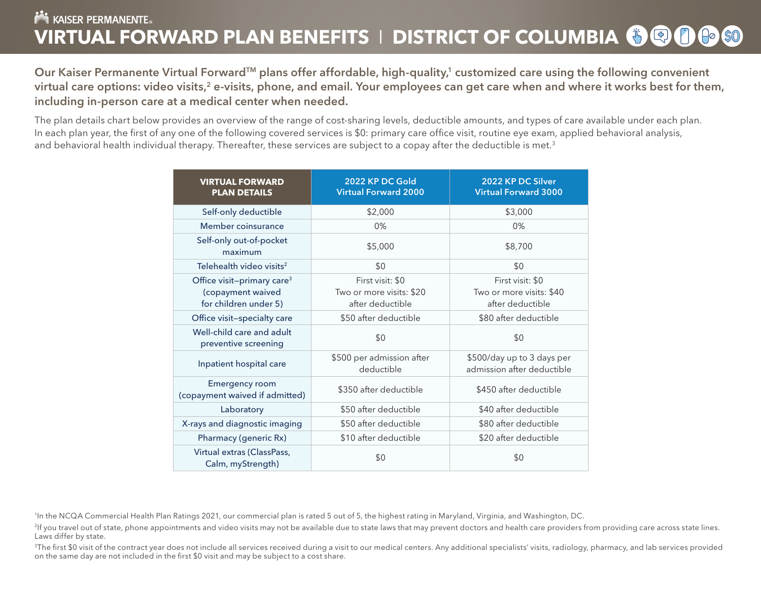# **NOW KAISER PERMANENTE. VIRTUAL FORWARD PLAN BENEFITS I DISTRICT OF COLUMBIA (5) @ (1) (1) \$0**

Our Kaiser Permanente Virtual Forward<sup>™</sup> plans offer affordable, high-quality,<sup>1</sup> customized care using the following convenient virtual care options: video visits,<sup>[2](#page-0-2)</sup> e-visits, phone, and email. Your employees can get care when and where it works best for them, including in-person care at a medical center when needed.

The plan details chart below provides an overview of the range of cost-sharing levels, deductible amounts, and types of care available under each plan. In each plan year, the first of any one of the following covered services is \$0: primary care office visit, routine eye exam, applied behavioral analysis, and behavioral health individual therapy. Thereafter, these services are subject to a copay after the deductible is met.<sup>[3](#page-0-4)</sup>

<span id="page-0-7"></span><span id="page-0-6"></span><span id="page-0-5"></span><span id="page-0-3"></span><span id="page-0-1"></span>

| <b>VIRTUAL FORWARD</b><br><b>PLAN DETAILS</b>                                        | 2022 KP DC Gold<br><b>Virtual Forward 2000</b>                   | 2022 KP DC Silver<br><b>Virtual Forward 3000</b>                 |
|--------------------------------------------------------------------------------------|------------------------------------------------------------------|------------------------------------------------------------------|
| Self-only deductible                                                                 | \$2,000                                                          | \$3,000                                                          |
| Member coinsurance                                                                   | 0%                                                               | 0%                                                               |
| Self-only out-of-pocket<br>maximum                                                   | \$5,000                                                          | \$8,700                                                          |
| Telehealth video visits <sup>2</sup>                                                 | \$0                                                              | \$0                                                              |
| Office visit-primary care <sup>3</sup><br>(copayment waived<br>for children under 5) | First visit: \$0<br>Two or more visits: \$20<br>after deductible | First visit: \$0<br>Two or more visits: \$40<br>after deductible |
| Office visit-specialty care                                                          | \$50 after deductible                                            | \$80 after deductible                                            |
| Well-child care and adult<br>preventive screening                                    | \$0                                                              | \$0                                                              |
| Inpatient hospital care                                                              | \$500 per admission after<br>deductible                          | \$500/day up to 3 days per<br>admission after deductible         |
| <b>Emergency room</b><br>(copayment waived if admitted)                              | \$350 after deductible                                           | \$450 after deductible                                           |
| Laboratory                                                                           | \$50 after deductible                                            | \$40 after deductible                                            |
| X-rays and diagnostic imaging                                                        | \$50 after deductible                                            | \$80 after deductible                                            |
| Pharmacy (generic Rx)                                                                | \$10 after deductible                                            | \$20 after deductible                                            |
| Virtual extras (ClassPass,<br>Calm, myStrength)                                      | \$0                                                              | \$0                                                              |

<span id="page-0-0"></span>[1](#page-0-1) In the NCQA Commercial Health Plan Ratings 2021, our commercial plan is rated 5 out of 5, the highest rating in Maryland, Virginia, and Washington, DC.

<span id="page-0-2"></span><sup>2</sup>If you travel out of state, phone appointments and video visits may not be available due to state laws that may prevent doctors and health care providers from providing care across state lines. Laws differ by state.

<span id="page-0-4"></span><sup>3</sup>The first \$0 visit of the contract year does not include all services received during a visit to our medical centers. Any additional specialists' visits, radiology, pharmacy, and lab services provided on the same day are not included in the first \$0 visit and may be subject to a cost share.